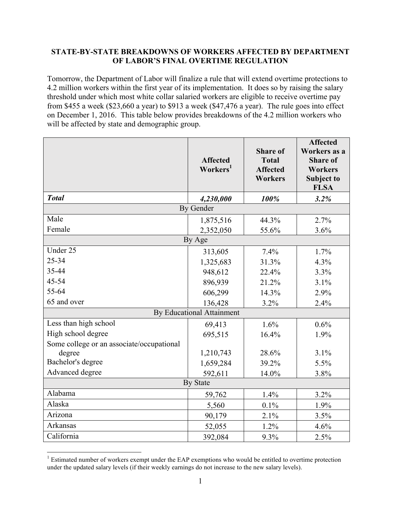## **STATE-BY-STATE BREAKDOWNS OF WORKERS AFFECTED BY DEPARTMENT OF LABOR'S FINAL OVERTIME REGULATION**

Tomorrow, the Department of Labor will finalize a rule that will extend overtime protections to 4.2 million workers within the first year of its implementation. It does so by raising the salary threshold under which most white collar salaried workers are eligible to receive overtime pay from \$455 a week (\$23,660 a year) to \$913 a week (\$47,476 a year). The rule goes into effect on December 1, 2016. This table below provides breakdowns of the 4.2 million workers who will be affected by state and demographic group.

|                                           | <b>Affected</b><br>Workers <sup>1</sup> | <b>Share of</b><br><b>Total</b><br><b>Affected</b><br><b>Workers</b> | <b>Affected</b><br>Workers as a<br><b>Share of</b><br><b>Workers</b><br><b>Subject to</b><br><b>FLSA</b> |  |  |
|-------------------------------------------|-----------------------------------------|----------------------------------------------------------------------|----------------------------------------------------------------------------------------------------------|--|--|
| <b>Total</b>                              | 4,230,000                               | 100%                                                                 | 3.2%                                                                                                     |  |  |
| <b>By Gender</b>                          |                                         |                                                                      |                                                                                                          |  |  |
| Male                                      | 1,875,516                               | 44.3%                                                                | 2.7%                                                                                                     |  |  |
| Female                                    | 2,352,050                               | 55.6%                                                                | 3.6%                                                                                                     |  |  |
| By Age                                    |                                         |                                                                      |                                                                                                          |  |  |
| Under 25                                  | 313,605                                 | 7.4%                                                                 | 1.7%                                                                                                     |  |  |
| 25-34                                     | 1,325,683                               | 31.3%                                                                | 4.3%                                                                                                     |  |  |
| 35-44                                     | 948,612                                 | 22.4%                                                                | 3.3%                                                                                                     |  |  |
| 45-54                                     | 896,939                                 | 21.2%                                                                | 3.1%                                                                                                     |  |  |
| 55-64                                     | 606,299                                 | 14.3%                                                                | 2.9%                                                                                                     |  |  |
| 65 and over                               | 136,428                                 | 3.2%                                                                 | 2.4%                                                                                                     |  |  |
| <b>By Educational Attainment</b>          |                                         |                                                                      |                                                                                                          |  |  |
| Less than high school                     | 69,413                                  | 1.6%                                                                 | 0.6%                                                                                                     |  |  |
| High school degree                        | 695,515                                 | 16.4%                                                                | 1.9%                                                                                                     |  |  |
| Some college or an associate/occupational |                                         |                                                                      |                                                                                                          |  |  |
| degree                                    | 1,210,743                               | 28.6%                                                                | 3.1%                                                                                                     |  |  |
| Bachelor's degree                         | 1,659,284                               | 39.2%                                                                | 5.5%                                                                                                     |  |  |
| Advanced degree                           | 592,611                                 | 14.0%                                                                | 3.8%                                                                                                     |  |  |
| <b>By State</b>                           |                                         |                                                                      |                                                                                                          |  |  |
| Alabama                                   | 59,762                                  | 1.4%                                                                 | 3.2%                                                                                                     |  |  |
| Alaska                                    | 5,560                                   | 0.1%                                                                 | 1.9%                                                                                                     |  |  |
| Arizona                                   | 90,179                                  | 2.1%                                                                 | 3.5%                                                                                                     |  |  |
| Arkansas                                  | 52,055                                  | 1.2%                                                                 | 4.6%                                                                                                     |  |  |
| California                                | 392,084                                 | 9.3%                                                                 | 2.5%                                                                                                     |  |  |

<sup>&</sup>lt;sup>1</sup> Estimated number of workers exempt under the EAP exemptions who would be entitled to overtime protection under the updated salary levels (if their weekly earnings do not increase to the new salary levels).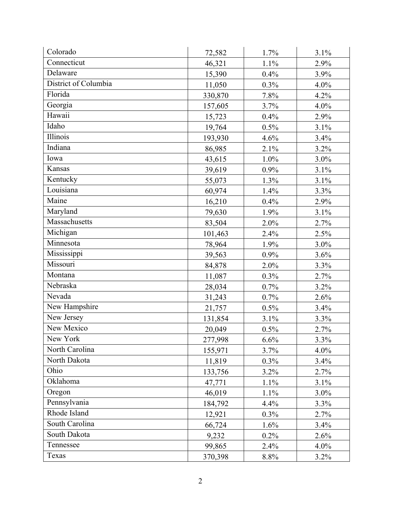| Colorado             | 72,582  | 1.7% | 3.1%    |
|----------------------|---------|------|---------|
| Connecticut          | 46,321  | 1.1% | 2.9%    |
| Delaware             | 15,390  | 0.4% | 3.9%    |
| District of Columbia | 11,050  | 0.3% | 4.0%    |
| Florida              | 330,870 | 7.8% | 4.2%    |
| Georgia              | 157,605 | 3.7% | 4.0%    |
| Hawaii               | 15,723  | 0.4% | 2.9%    |
| Idaho                | 19,764  | 0.5% | 3.1%    |
| Illinois             | 193,930 | 4.6% | 3.4%    |
| Indiana              | 86,985  | 2.1% | 3.2%    |
| Iowa                 | 43,615  | 1.0% | 3.0%    |
| Kansas               | 39,619  | 0.9% | 3.1%    |
| Kentucky             | 55,073  | 1.3% | 3.1%    |
| Louisiana            | 60,974  | 1.4% | 3.3%    |
| Maine                | 16,210  | 0.4% | 2.9%    |
| Maryland             | 79,630  | 1.9% | 3.1%    |
| Massachusetts        | 83,504  | 2.0% | 2.7%    |
| Michigan             | 101,463 | 2.4% | 2.5%    |
| Minnesota            | 78,964  | 1.9% | 3.0%    |
| Mississippi          | 39,563  | 0.9% | 3.6%    |
| Missouri             | 84,878  | 2.0% | 3.3%    |
| Montana              | 11,087  | 0.3% | 2.7%    |
| Nebraska             | 28,034  | 0.7% | 3.2%    |
| Nevada               | 31,243  | 0.7% | 2.6%    |
| New Hampshire        | 21,757  | 0.5% | 3.4%    |
| New Jersey           | 131,854 | 3.1% | 3.3%    |
| New Mexico           | 20,049  | 0.5% | 2.7%    |
| New York             | 277,998 | 6.6% | 3.3%    |
| North Carolina       | 155,971 | 3.7% | 4.0%    |
| North Dakota         | 11,819  | 0.3% | 3.4%    |
| Ohio                 | 133,756 | 3.2% | 2.7%    |
| Oklahoma             | 47,771  | 1.1% | 3.1%    |
| Oregon               | 46,019  | 1.1% | $3.0\%$ |
| Pennsylvania         | 184,792 | 4.4% | 3.3%    |
| Rhode Island         | 12,921  | 0.3% | 2.7%    |
| South Carolina       | 66,724  | 1.6% | 3.4%    |
| South Dakota         | 9,232   | 0.2% | 2.6%    |
| Tennessee            | 99,865  | 2.4% | 4.0%    |
| Texas                | 370,398 | 8.8% | 3.2%    |